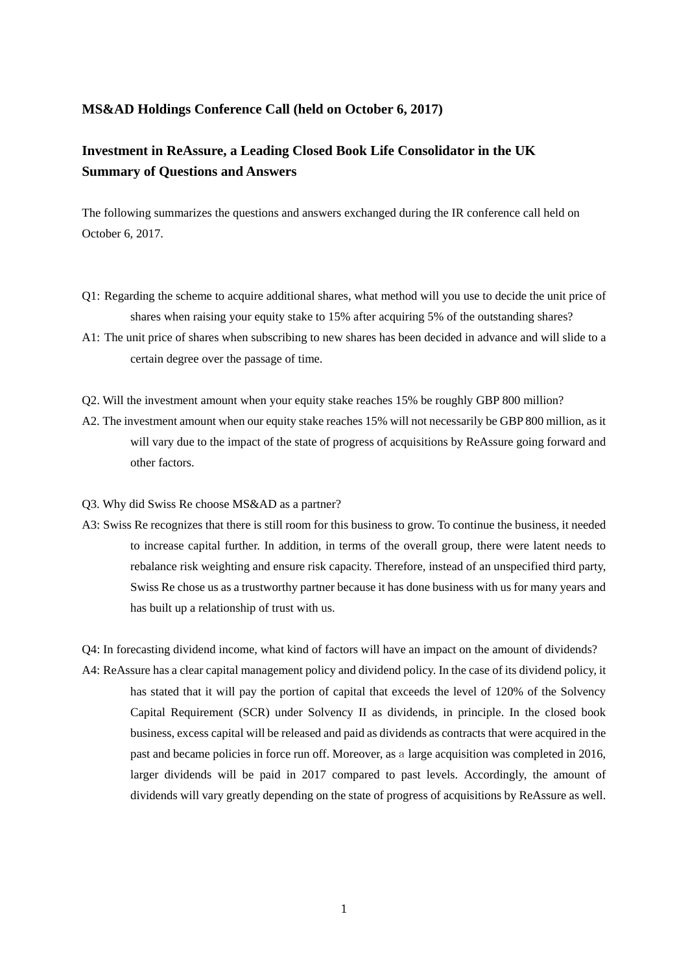## **MS&AD Holdings Conference Call (held on October 6, 2017)**

## **Investment in ReAssure, a Leading Closed Book Life Consolidator in the UK Summary of Questions and Answers**

The following summarizes the questions and answers exchanged during the IR conference call held on October 6, 2017.

- Q1: Regarding the scheme to acquire additional shares, what method will you use to decide the unit price of shares when raising your equity stake to 15% after acquiring 5% of the outstanding shares?
- A1: The unit price of shares when subscribing to new shares has been decided in advance and will slide to a certain degree over the passage of time.
- Q2. Will the investment amount when your equity stake reaches 15% be roughly GBP 800 million?
- A2. The investment amount when our equity stake reaches 15% will not necessarily be GBP 800 million, as it will vary due to the impact of the state of progress of acquisitions by ReAssure going forward and other factors.
- Q3. Why did Swiss Re choose MS&AD as a partner?
- A3: Swiss Re recognizes that there is still room for this business to grow. To continue the business, it needed to increase capital further. In addition, in terms of the overall group, there were latent needs to rebalance risk weighting and ensure risk capacity. Therefore, instead of an unspecified third party, Swiss Re chose us as a trustworthy partner because it has done business with us for many years and has built up a relationship of trust with us.

Q4: In forecasting dividend income, what kind of factors will have an impact on the amount of dividends?

A4: ReAssure has a clear capital management policy and dividend policy. In the case of its dividend policy, it has stated that it will pay the portion of capital that exceeds the level of 120% of the Solvency Capital Requirement (SCR) under Solvency II as dividends, in principle. In the closed book business, excess capital will be released and paid as dividends as contracts that were acquired in the past and became policies in force run off. Moreover, as a large acquisition was completed in 2016, larger dividends will be paid in 2017 compared to past levels. Accordingly, the amount of dividends will vary greatly depending on the state of progress of acquisitions by ReAssure as well.